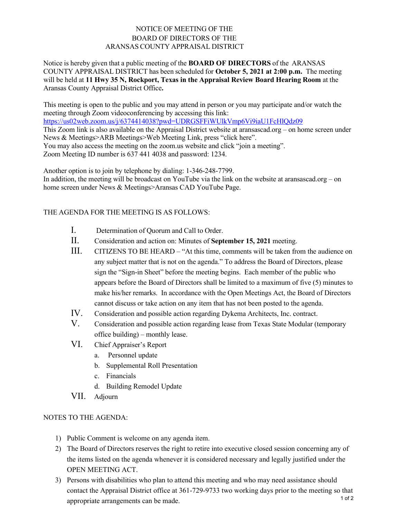## NOTICE OF MEETING OF THE BOARD OF DIRECTORS OF THE ARANSAS COUNTY APPRAISAL DISTRICT

Notice is hereby given that a public meeting of the **BOARD OF DIRECTORS** of the ARANSAS COUNTY APPRAISAL DISTRICT has been scheduled for **October 5, 2021 at 2:00 p.m.** The meeting will be held at **11 Hwy 35 N, Rockport, Texas in the Appraisal Review Board Hearing Room** at the Aransas County Appraisal District Office**.** 

This meeting is open to the public and you may attend in person or you may participate and/or watch the meeting through Zoom videoconferencing by accessing this link: <https://us02web.zoom.us/j/6374414038?pwd=UDRGSFFiWUlkVmp6Vi9iaU1FcHlQdz09>

This Zoom link is also available on the Appraisal District website at aransascad.org – on home screen under News & Meetings>ARB Meetings>Web Meeting Link, press "click here".

You may also access the meeting on the zoom.us website and click "join a meeting".

Zoom Meeting ID number is 637 441 4038 and password: 1234.

Another option is to join by telephone by dialing: 1-346-248-7799. In addition, the meeting will be broadcast on YouTube via the link on the website at aransascad.org – on home screen under News & Meetings>Aransas CAD YouTube Page.

## THE AGENDA FOR THE MEETING IS AS FOLLOWS:

- I. Determination of Quorum and Call to Order.
- II. Consideration and action on: Minutes of **September 15, 2021** meeting.
- III. CITIZENS TO BE HEARD "At this time, comments will be taken from the audience on any subject matter that is not on the agenda." To address the Board of Directors, please sign the "Sign-in Sheet" before the meeting begins. Each member of the public who appears before the Board of Directors shall be limited to a maximum of five (5) minutes to make his/her remarks. In accordance with the Open Meetings Act, the Board of Directors cannot discuss or take action on any item that has not been posted to the agenda.
- IV. Consideration and possible action regarding Dykema Architects, Inc. contract.
- V. Consideration and possible action regarding lease from Texas State Modular (temporary office building) – monthly lease.
- VI. Chief Appraiser's Report
	- a. Personnel update
	- b. Supplemental Roll Presentation
	- c. Financials
	- d. Building Remodel Update
- VII. Adjourn

## NOTES TO THE AGENDA:

- 1) Public Comment is welcome on any agenda item.
- 2) The Board of Directors reserves the right to retire into executive closed session concerning any of the items listed on the agenda whenever it is considered necessary and legally justified under the OPEN MEETING ACT.
- 3) Persons with disabilities who plan to attend this meeting and who may need assistance should contact the Appraisal District office at 361-729-9733 two working days prior to the meeting so that appropriate arrangements can be made. 1 of 2